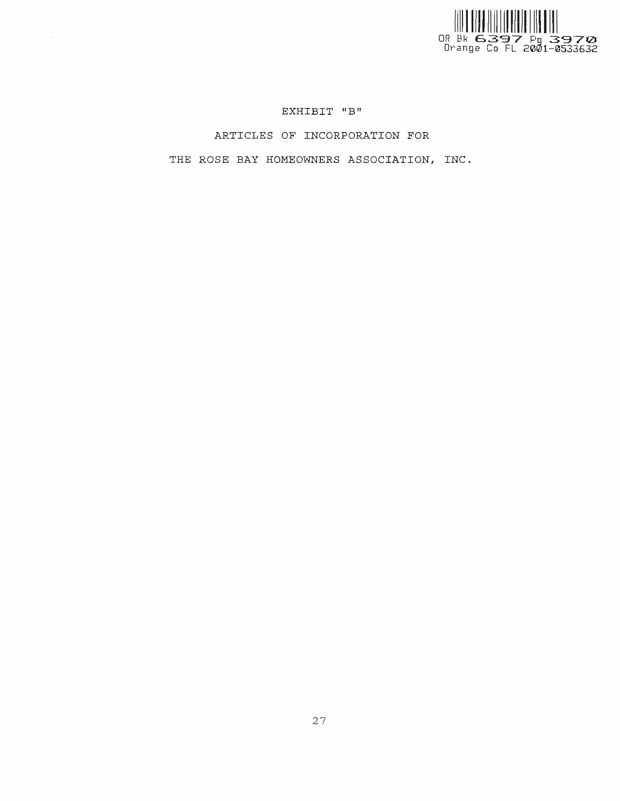

# EXHIBIT "B"

 $\sim 10^{-1}$ 

ARTICLES OF INCORPORATION FOR

THE ROSE BAY HOMEOWNERS ASSOCIATION, INC.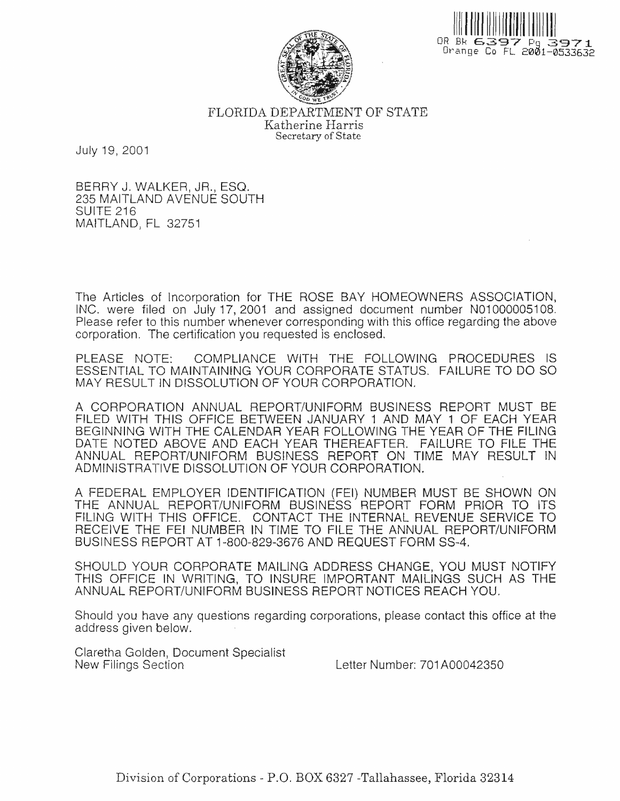



FLORIDA DEPARTMENT OF STATE Katherine Harris Secretary of State

July 19, 2001

BERRY J. WALKER, JR., ESQ. 235 MAITLAND AVENUE SOUTH SUITE 216 MAITLAND, FL 32751

The Articles of Incorporation for THE ROSE BAY HOMEOWNERS ASSOCIATION, INC. were filed on July 17, 2001 and assigned document number N01000005108. Please refer to this number whenever corresponding with this office regarding the above corporation. The certification you requested is enclosed.

PLEASE NOTE: COMPLIANCE WITH THE FOLLOWING PROCEDURES IS ESSENTIAL TO MAINTAINING YOUR CORPORATE STATUS. FAILURE TO DO SO MAY RESULT IN DISSOLUTION OF YOUR CORPORATION.

A CORPORATION ANNUAL REPORT/UNIFORM BUSINESS REPORT MUST BE FILED WITH THIS OFFICE BETWEEN JANUARY 1 AND MAY 1 OF EACH YEAR BEGINNING WITH THE CALENDAR YEAR FOLLOWING THE YEAR OF THE FILING DATE NOTED ABOVE AND EACH YEAR THEREAFTER. FAILURE TO FILE THE ANNUAL REPORT/UNIFORM BUSINESS REPORT ON TIME MAY RESULT IN ADMINISTRATIVE DISSOLUTION OF YOUR CORPORATION.

A FEDERAL EMPLOYER IDENTIFICATION (FEI) NUMBER MUST BE SHOWN ON THE ANNUAL REPORT/UNIFORM BUSINESS REPORT FORM PRIOR TO ITS FILING WITH THIS OFFICE. CONTACT THE INTERNAL REVENUE SERVICE TO RECEIVE THE FEI NUMBER IN TIME TO FILE THE ANNUAL REPORT/UNIFORM BUSINESS REPORT AT 1-800-829-3676 AND REQUEST FORM SS-4.

SHOULD YOUR CORPORATE MAILING ADDRESS CHANGE, YOU MUST NOTIFY THIS OFFICE IN WRITING, TO INSURE IMPORTANT MAILINGS SUCH AS THE ANNUAL REPORT/UNIFORM BUSINESS REPORT NOTICES REACH YOU.

Should you have any questions regarding corporations, please contact this office at the address given below.

Claretha Golden, Document Specialist New Filings Section

Letter Number: 701A00042350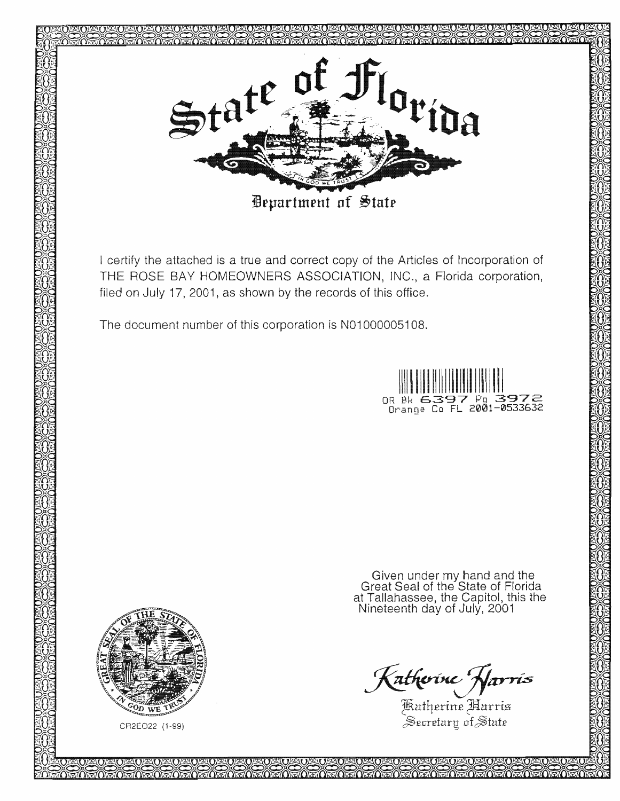

I certify the attached is a true and correct copy of the Articles of Incorporation of THE ROSE BAY HOMEOWNERS ASSOCIATION, INC., a Florida corporation, filed on July 17, 2001, as shown by the records of this office.

The document number of this corporation is N01000005108.



under my hand and the of the State at Tallahassee, the Capitol, this the of July, 2001–

Katherine Harris<br>Katherine Harris<br>Secretary of State



CR2E022 (1-99)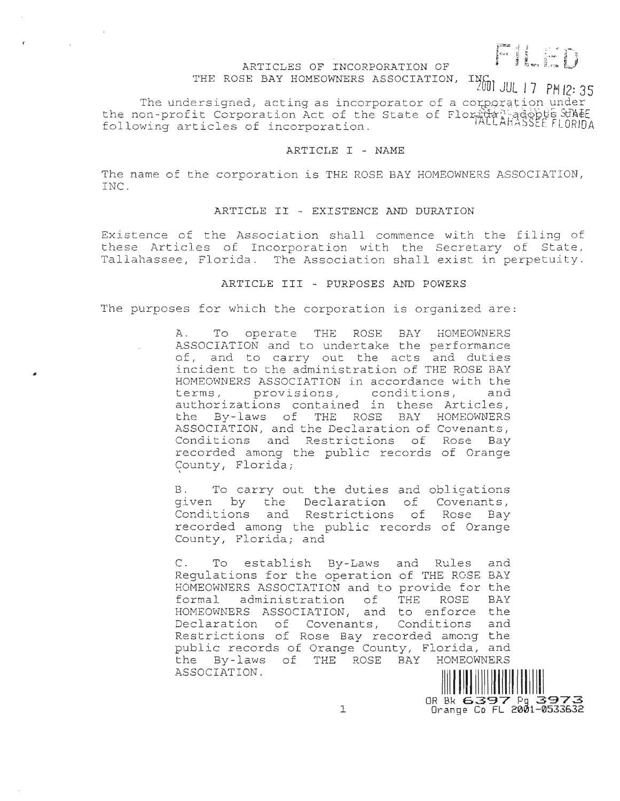# Film

# ARTICLES OF INCORPORATION OF

THE ROSE BAY HOMEOWNERS ASSOCIATION,

**INGO JUL 17 PM 12:35** 

OR Bk 6397 Pg 3973<br>Orange Co FL 2001-0533632

The undersigned, acting as incorporator of a corporation under the non-profit Corporation Act of the State of Floridan adoptes SUNEE<br>following articles of incorporation. following articles of incorporation.

### ARTICLE I - NAME

The name of the corporation is THE ROSE BAY HOMEOWNERS ASSOCIATION, INC.

# ARTICLE II - EXISTENCE AND DURATION

Existence of the Association shall commence with the filing of these Articles of Incorporation with the Secretary of State, Tallahassee, Florida. The Association shall exist in perpetuity.

# ARTICLE III - PURPOSES AND POWERS

The purposes for which the corporation is organized are:

Α. To operate THE ROSE BAY HOMEOWNERS ASSOCIATION and to undertake the performance of, and to carry out the acts and duties incident to the administration of THE ROSE BAY HOMEOWNERS ASSOCIATION in accordance with the terms, provisions, conditions, and authorizations contained in these Articles, the By-laws of THE ROSE BAY HOMEOWNERS ASSOCIATION, and the Declaration of Covenants, Conditions and Restrictions of Rose Bay recorded among the public records of Orange County, Florida;

 $B.$ To carry out the duties and oblications given by the Declaration of Covenants, Conditions and Restrictions of Rose Bay recorded among the public records of Orange County, Florida; and

To establish By-Laws and Rules  $C_{\infty}$ and Requlations for the operation of THE ROSE BAY HOMEOWNERS ASSOCIATION and to provide for the formal administration of THE ROSE BAY HOMEOWNERS ASSOCIATION, and to enforce the Declaration of Covenants, Conditions and<br>Restrictions of Rose Bay recorded among the public records of Orange County, Florida, and the By-laws of THE ROSE BAY HOMEOWNERS ASSOCIATION.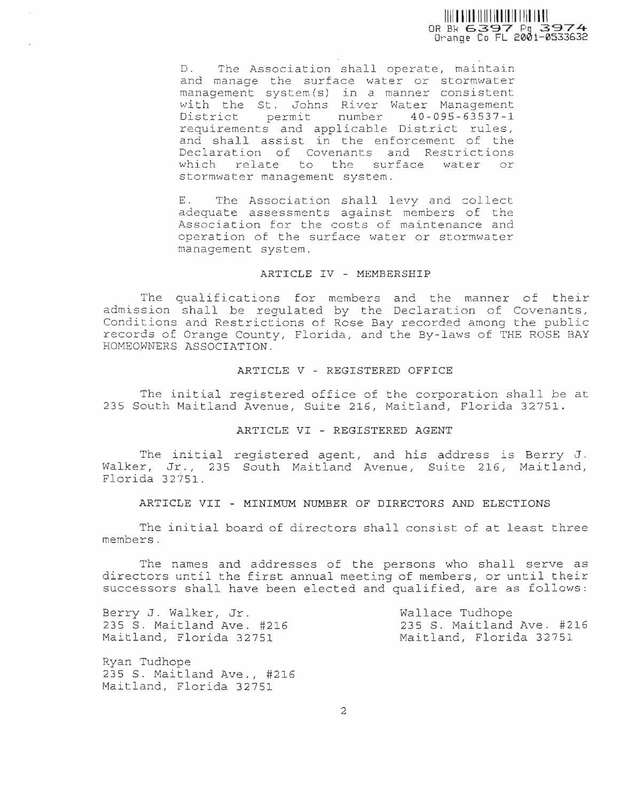OR Bk 6397 Pg 3974

D. The Association shall operate, maintain and manage the surface water or stormwater management system(s) in a manner consistent with the St. Johns River Water Management District permit number 40-095-63537-1 requirements and applicable District rules, and shall assist in the enforcement of the Declaration of Covenants and Restrictions which relate to the surface water or stormwater management system.

The Association shall levy and collect Ε. adequate assessments against members of the Association for the costs of maintenance and operation of the surface water or stormwater management system.

# ARTICLE IV - MEMBERSHIP

The qualifications for members and the manner of their admission shall be requlated by the Declaration of Covenants, Conditions and Restrictions of Rose Bay recorded among the public records of Orange County, Florida, and the By-laws of THE ROSE BAY HOMEOWNERS ASSOCIATION.

# ARTICLE V - REGISTERED OFFICE

The initial registered office of the corporation shall be at 235 South Maitland Avenue, Suite 216, Maitland, Florida 32751.

#### ARTICLE VI - REGISTERED AGENT

The initial registered agent, and his address is Berry J. Walker, Jr., 235 South Maitland Avenue, Suite 216, Maitland, Florida 32751

ARTICLE VII - MINIMUM NUMBER OF DIRECTORS AND ELECTIONS

The initial board of directors shall consist of at least three members.

The names and addresses of the persons who shall serve as directors until the first annual meeting of members, or until their successors shall have been elected and qualified, are as follows:

Berry J. Walker, Jr. 235 S. Maitland Ave. #216 Maitland, Florida 32751

Wallace Tudhope 235 S. Maitland Ave. #216 Maitland, Florida 32751

Ryan Tudhope 235 S. Maitland Ave., #216 Maitland, Florida 32751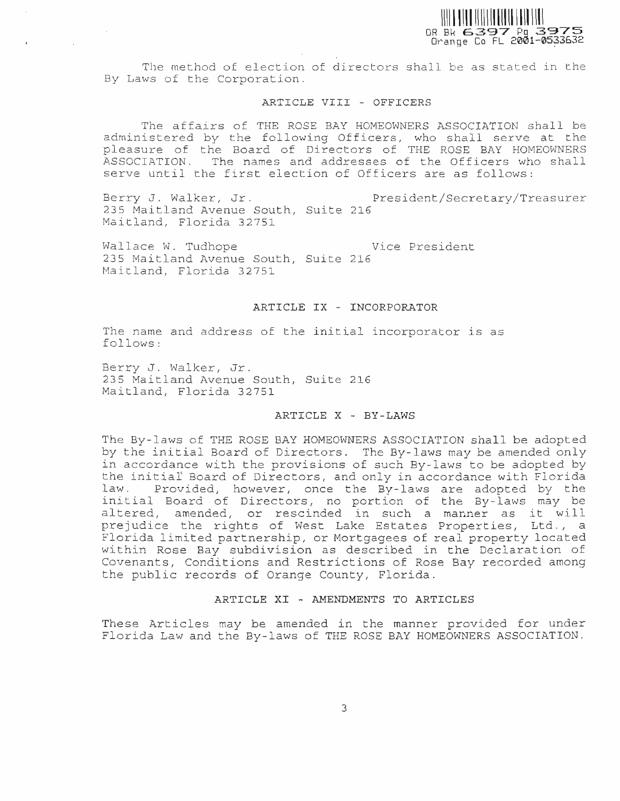

The method of election of directors shall be as stated in the By Laws of the Corporation.

#### ARTICLE VIII - OFFICERS

The affairs of THE ROSE BAY HOMEOWNERS ASSOCIATION shall be administered by the following Officers, who shall serve at the pleasure of the Board of Directors of THE ROSE BAY HOMEOWNERS ASSOCIATION. The names and addresses of the Officers who shall serve until the first election of Officers are as follows:

Berry J. Walker, Jr. President/Secretary/Treasurer 235 Maitland Avenue South, Suite 216 Maitland, Florida 32751

Wallace W. Tudhope Vice President 235 Maitland Avenue South, Suite 216 Maitland, Florida 32751

#### ARTICLE IX - INCORPORATOR

The name and address of the initial incorporator is as follows:

Berry J. Walker, Jr. 235 Maitland Avenue South, Suite 216 Maitland, Florida 32751

 $\sim$ 

#### ARTICLE X - BY-LAWS

The By-laws of THE ROSE BAY HOMEOWNERS ASSOCIATION shall be adopted by the initial Board of Directors. The By-laws may be amended only in accordance with the provisions of such By-laws to be adopted by the initial Board of Directors, and only in accordance with Florida Provided, however, once the By-laws are adopted by the  $law.$ initial Board of Directors, no portion of the By-laws may be altered, amended, or rescinded in such a manner as it will prejudice the rights of West Lake Estates Properties, Ltd., a Florida limited partnership, or Mortgagees of real property located within Rose Bay subdivision as described in the Declaration of Covenants, Conditions and Restrictions of Rose Bay recorded among the public records of Orange County, Florida.

### ARTICLE XI - AMENDMENTS TO ARTICLES

These Articles may be amended in the manner provided for under Florida Law and the By-laws of THE ROSE BAY HOMEOWNERS ASSOCIATION.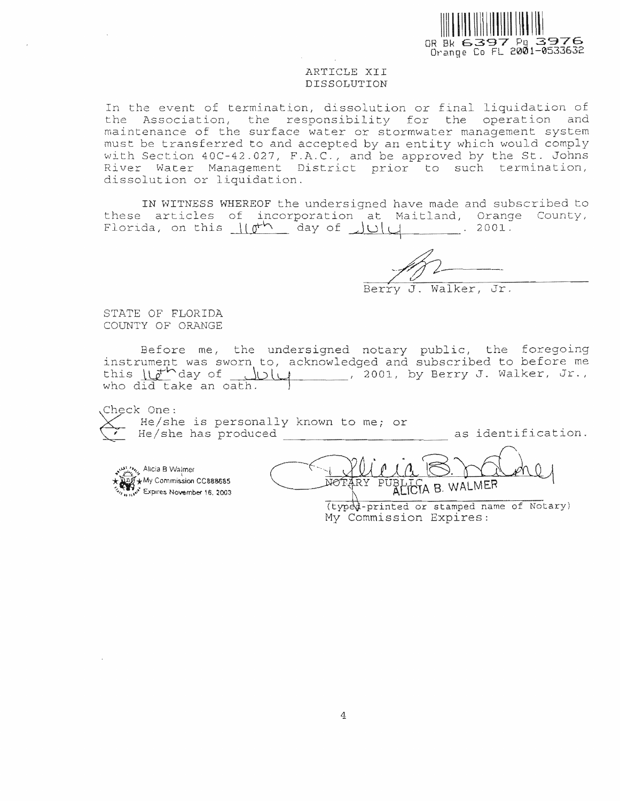

#### ARTICLE XII DISSOLUTION

In the event of termination, dissolution or final liquidation of the Association, the responsibility for the operation and maintenance of the surface water or stormwater management system must be transferred to and accepted by an entity which would comply with Section 40C-42.027, F.A.C., and be approved by the St. Johns River Water Management District prior to such termination, dissolution or liquidation.

IN WITNESS WHEREOF the undersigned have made and subscribed to these articles of incorporation at Maitland, Orange County, Florida, on this  $\| \psi^{\mathsf{th}} \|$  day of  $\| \psi \|$  $\mathcal{L}^{\text{max}}_{\text{max}}$  and  $\mathcal{L}^{\text{max}}_{\text{max}}$  $2001.$ 

τ. Walker, Jr.

STATE OF FLORIDA COUNTY OF ORANGE

Before me, the undersigned notary public, the foregoing<br>instrument was sworn to, acknowledged and subscribed to before me this llath day of July . 2001, by Berry J. Walker, Jr., who did take an oath.

Check One: He/she is personally known to me; or as identification. He/she has produced

white Alicia B Walmer **ANY Commission CC888685** www<sup>x</sup> Expires November 16, 2003

MA B. WALMER

(typed-printed or stamped name of Notary) My Commission Expires: